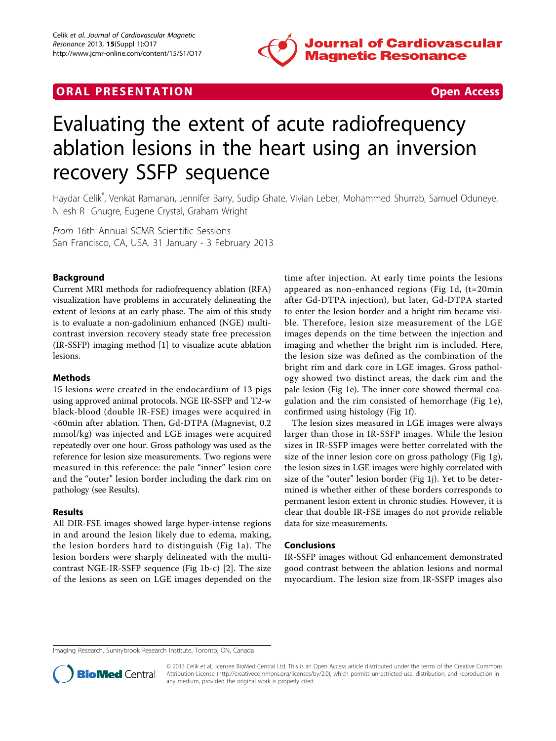

# **ORAL PRESENTATION CONSUMING ACCESS**



# Evaluating the extent of acute radiofrequency ablation lesions in the heart using an inversion recovery SSFP sequence

Haydar Celik\* , Venkat Ramanan, Jennifer Barry, Sudip Ghate, Vivian Leber, Mohammed Shurrab, Samuel Oduneye, Nilesh R Ghugre, Eugene Crystal, Graham Wright

From 16th Annual SCMR Scientific Sessions San Francisco, CA, USA. 31 January - 3 February 2013

## Background

Current MRI methods for radiofrequency ablation (RFA) visualization have problems in accurately delineating the extent of lesions at an early phase. The aim of this study is to evaluate a non-gadolinium enhanced (NGE) multicontrast inversion recovery steady state free precession (IR-SSFP) imaging method [[1\]](#page-2-0) to visualize acute ablation lesions.

#### Methods

15 lesions were created in the endocardium of 13 pigs using approved animal protocols. NGE IR-SSFP and T2-w black-blood (double IR-FSE) images were acquired in <60min after ablation. Then, Gd-DTPA (Magnevist, 0.2 mmol/kg) was injected and LGE images were acquired repeatedly over one hour. Gross pathology was used as the reference for lesion size measurements. Two regions were measured in this reference: the pale "inner" lesion core and the "outer" lesion border including the dark rim on pathology (see Results).

#### Results

All DIR-FSE images showed large hyper-intense regions in and around the lesion likely due to edema, making, the lesion borders hard to distinguish (Fig [1a\)](#page-1-0). The lesion borders were sharply delineated with the multicontrast NGE-IR-SSFP sequence (Fig [1b-c](#page-1-0)) [\[2](#page-2-0)]. The size of the lesions as seen on LGE images depended on the time after injection. At early time points the lesions appeared as non-enhanced regions (Fig [1d](#page-1-0), (t=20min after Gd-DTPA injection), but later, Gd-DTPA started to enter the lesion border and a bright rim became visible. Therefore, lesion size measurement of the LGE images depends on the time between the injection and imaging and whether the bright rim is included. Here, the lesion size was defined as the combination of the bright rim and dark core in LGE images. Gross pathology showed two distinct areas, the dark rim and the pale lesion (Fig [1e](#page-1-0)). The inner core showed thermal coagulation and the rim consisted of hemorrhage (Fig [1e](#page-1-0)), confirmed using histology (Fig [1f\)](#page-1-0).

The lesion sizes measured in LGE images were always larger than those in IR-SSFP images. While the lesion sizes in IR-SSFP images were better correlated with the size of the inner lesion core on gross pathology (Fig [1g](#page-1-0)), the lesion sizes in LGE images were highly correlated with size of the "outer" lesion border (Fig [1j](#page-1-0)). Yet to be determined is whether either of these borders corresponds to permanent lesion extent in chronic studies. However, it is clear that double IR-FSE images do not provide reliable data for size measurements.

#### Conclusions

IR-SSFP images without Gd enhancement demonstrated good contrast between the ablation lesions and normal myocardium. The lesion size from IR-SSFP images also

Imaging Research, Sunnybrook Research Institute, Toronto, ON, Canada



© 2013 Celik et al; licensee BioMed Central Ltd. This is an Open Access article distributed under the terms of the Creative Commons Attribution License [\(http://creativecommons.org/licenses/by/2.0](http://creativecommons.org/licenses/by/2.0)), which permits unrestricted use, distribution, and reproduction in any medium, provided the original work is properly cited.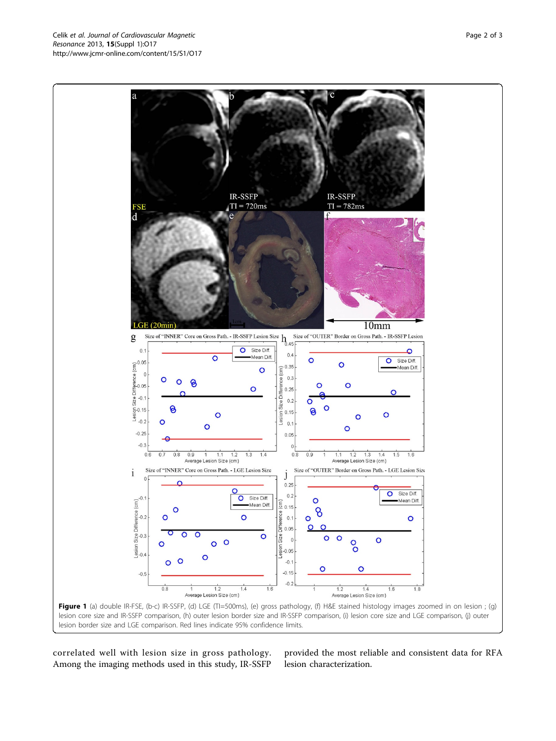<span id="page-1-0"></span>

correlated well with lesion size in gross pathology. Among the imaging methods used in this study, IR-SSFP

provided the most reliable and consistent data for RFA lesion characterization.